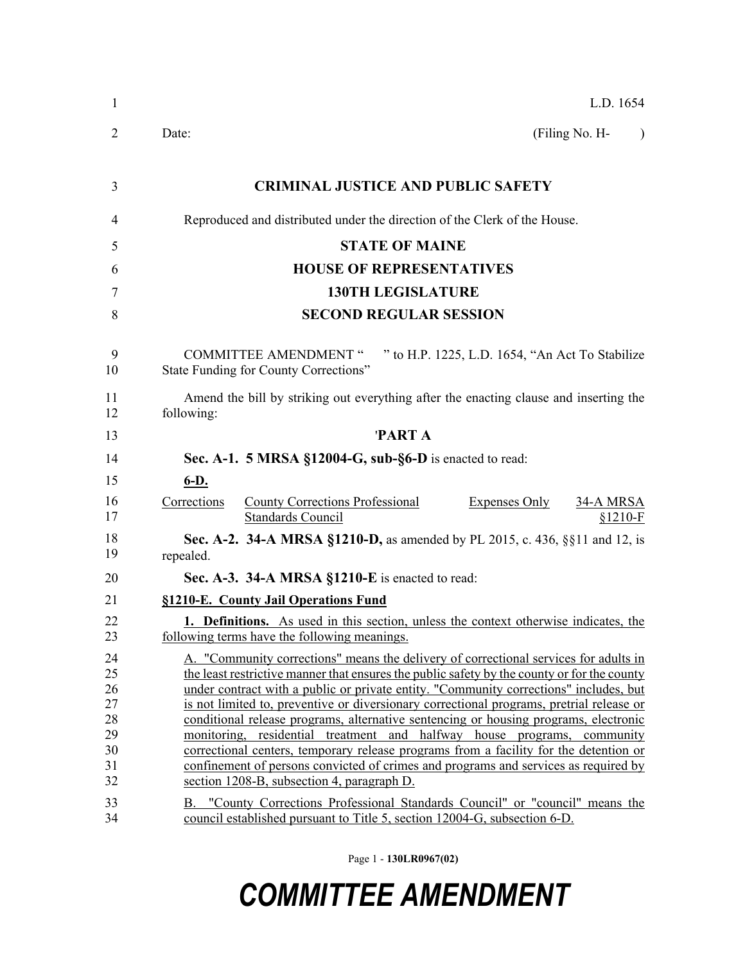| $\mathbf{1}$                                       | L.D. 1654                                                                                                                                                                                                                                                                                                                                                                                                                                                                                                                                                                                                                                                                                                                                                                 |
|----------------------------------------------------|---------------------------------------------------------------------------------------------------------------------------------------------------------------------------------------------------------------------------------------------------------------------------------------------------------------------------------------------------------------------------------------------------------------------------------------------------------------------------------------------------------------------------------------------------------------------------------------------------------------------------------------------------------------------------------------------------------------------------------------------------------------------------|
| 2                                                  | (Filing No. H-<br>Date:<br>$\lambda$                                                                                                                                                                                                                                                                                                                                                                                                                                                                                                                                                                                                                                                                                                                                      |
| 3                                                  | <b>CRIMINAL JUSTICE AND PUBLIC SAFETY</b>                                                                                                                                                                                                                                                                                                                                                                                                                                                                                                                                                                                                                                                                                                                                 |
| 4                                                  | Reproduced and distributed under the direction of the Clerk of the House.                                                                                                                                                                                                                                                                                                                                                                                                                                                                                                                                                                                                                                                                                                 |
| 5                                                  | <b>STATE OF MAINE</b>                                                                                                                                                                                                                                                                                                                                                                                                                                                                                                                                                                                                                                                                                                                                                     |
| 6                                                  | <b>HOUSE OF REPRESENTATIVES</b>                                                                                                                                                                                                                                                                                                                                                                                                                                                                                                                                                                                                                                                                                                                                           |
| 7                                                  | <b>130TH LEGISLATURE</b>                                                                                                                                                                                                                                                                                                                                                                                                                                                                                                                                                                                                                                                                                                                                                  |
| 8                                                  | <b>SECOND REGULAR SESSION</b>                                                                                                                                                                                                                                                                                                                                                                                                                                                                                                                                                                                                                                                                                                                                             |
| 9<br>10                                            | <b>COMMITTEE AMENDMENT "</b><br>" to H.P. 1225, L.D. 1654, "An Act To Stabilize<br><b>State Funding for County Corrections"</b>                                                                                                                                                                                                                                                                                                                                                                                                                                                                                                                                                                                                                                           |
| 11<br>12                                           | Amend the bill by striking out everything after the enacting clause and inserting the<br>following:                                                                                                                                                                                                                                                                                                                                                                                                                                                                                                                                                                                                                                                                       |
| 13                                                 | <b>PARTA</b>                                                                                                                                                                                                                                                                                                                                                                                                                                                                                                                                                                                                                                                                                                                                                              |
| 14                                                 | Sec. A-1. $5$ MRSA §12004-G, sub-§6-D is enacted to read:                                                                                                                                                                                                                                                                                                                                                                                                                                                                                                                                                                                                                                                                                                                 |
| 15                                                 | $6-D.$                                                                                                                                                                                                                                                                                                                                                                                                                                                                                                                                                                                                                                                                                                                                                                    |
| 16<br>17                                           | <b>County Corrections Professional</b><br>Corrections<br><b>Expenses Only</b><br><b>34-A MRSA</b><br><b>Standards Council</b><br>$§1210-F$                                                                                                                                                                                                                                                                                                                                                                                                                                                                                                                                                                                                                                |
| 18<br>19                                           | <b>Sec. A-2. 34-A MRSA §1210-D, as amended by PL 2015, c. 436, §§11 and 12, is</b><br>repealed.                                                                                                                                                                                                                                                                                                                                                                                                                                                                                                                                                                                                                                                                           |
| 20                                                 | Sec. A-3. 34-A MRSA §1210-E is enacted to read:                                                                                                                                                                                                                                                                                                                                                                                                                                                                                                                                                                                                                                                                                                                           |
| 21                                                 | §1210-E. County Jail Operations Fund                                                                                                                                                                                                                                                                                                                                                                                                                                                                                                                                                                                                                                                                                                                                      |
| 22<br>23                                           | 1. Definitions. As used in this section, unless the context otherwise indicates, the<br>following terms have the following meanings.                                                                                                                                                                                                                                                                                                                                                                                                                                                                                                                                                                                                                                      |
| 24<br>25<br>26<br>27<br>28<br>29<br>30<br>31<br>32 | A. "Community corrections" means the delivery of correctional services for adults in<br>the least restrictive manner that ensures the public safety by the county or for the county<br>under contract with a public or private entity. "Community corrections" includes, but<br>is not limited to, preventive or diversionary correctional programs, pretrial release or<br>conditional release programs, alternative sentencing or housing programs, electronic<br>monitoring, residential treatment and halfway house programs, community<br>correctional centers, temporary release programs from a facility for the detention or<br>confinement of persons convicted of crimes and programs and services as required by<br>section 1208-B, subsection 4, paragraph D. |
| 33<br>34                                           | B. "County Corrections Professional Standards Council" or "council" means the<br>council established pursuant to Title 5, section 12004-G, subsection 6-D.                                                                                                                                                                                                                                                                                                                                                                                                                                                                                                                                                                                                                |

Page 1 - **130LR0967(02)**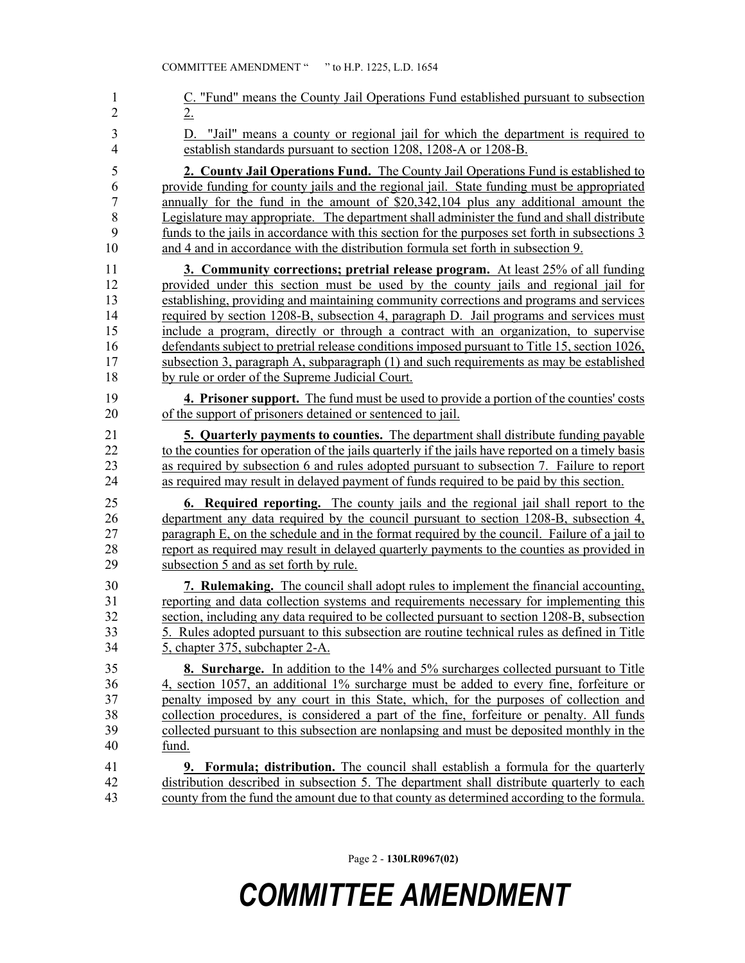| 1                                | C. "Fund" means the County Jail Operations Fund established pursuant to subsection                                                                      |
|----------------------------------|---------------------------------------------------------------------------------------------------------------------------------------------------------|
| $\overline{2}$                   | 2.                                                                                                                                                      |
| $\mathfrak{Z}$<br>$\overline{4}$ | "Jail" means a county or regional jail for which the department is required to<br>D.<br>establish standards pursuant to section 1208, 1208-A or 1208-B. |
| 5                                | 2. County Jail Operations Fund. The County Jail Operations Fund is established to                                                                       |
| 6                                | provide funding for county jails and the regional jail. State funding must be appropriated                                                              |
| $\sqrt{ }$                       | annually for the fund in the amount of \$20,342,104 plus any additional amount the                                                                      |
| 8                                | Legislature may appropriate. The department shall administer the fund and shall distribute                                                              |
| 9                                | funds to the jails in accordance with this section for the purposes set forth in subsections 3                                                          |
| 10                               | and 4 and in accordance with the distribution formula set forth in subsection 9.                                                                        |
| 11                               | <b>3. Community corrections; pretrial release program.</b> At least 25% of all funding                                                                  |
| 12                               | provided under this section must be used by the county jails and regional jail for                                                                      |
| 13                               | establishing, providing and maintaining community corrections and programs and services                                                                 |
| 14                               | required by section 1208-B, subsection 4, paragraph D. Jail programs and services must                                                                  |
| 15                               | include a program, directly or through a contract with an organization, to supervise                                                                    |
| 16                               | defendants subject to pretrial release conditions imposed pursuant to Title 15, section 1026,                                                           |
| 17                               | subsection 3, paragraph A, subparagraph (1) and such requirements as may be established                                                                 |
| 18                               | by rule or order of the Supreme Judicial Court.                                                                                                         |
| 19                               | <b>4. Prisoner support.</b> The fund must be used to provide a portion of the counties' costs                                                           |
| 20                               | of the support of prisoners detained or sentenced to jail.                                                                                              |
| 21                               | <b>5. Quarterly payments to counties.</b> The department shall distribute funding payable                                                               |
| 22                               | to the counties for operation of the jails quarterly if the jails have reported on a timely basis                                                       |
| 23                               | as required by subsection 6 and rules adopted pursuant to subsection 7. Failure to report                                                               |
| 24                               | as required may result in delayed payment of funds required to be paid by this section.                                                                 |
| 25                               | 6. Required reporting. The county jails and the regional jail shall report to the                                                                       |
| 26                               | department any data required by the council pursuant to section 1208-B, subsection 4,                                                                   |
| 27                               | paragraph E, on the schedule and in the format required by the council. Failure of a jail to                                                            |
| 28                               | report as required may result in delayed quarterly payments to the counties as provided in                                                              |
| 29                               | subsection 5 and as set forth by rule.                                                                                                                  |
| 30                               | 7. Rulemaking. The council shall adopt rules to implement the financial accounting.                                                                     |
| 31                               | reporting and data collection systems and requirements necessary for implementing this                                                                  |
| 32                               | section, including any data required to be collected pursuant to section 1208-B, subsection                                                             |
| 33                               | 5. Rules adopted pursuant to this subsection are routine technical rules as defined in Title                                                            |
| 34                               | 5, chapter 375, subchapter 2-A.                                                                                                                         |
| 35                               | <b>8. Surcharge.</b> In addition to the 14% and 5% surcharges collected pursuant to Title                                                               |
| 36                               | 4, section 1057, an additional 1% surcharge must be added to every fine, forfeiture or                                                                  |
| 37                               | penalty imposed by any court in this State, which, for the purposes of collection and                                                                   |
| 38                               | collection procedures, is considered a part of the fine, forfeiture or penalty. All funds                                                               |
| 39                               | collected pursuant to this subsection are nonlapsing and must be deposited monthly in the                                                               |
| 40                               | fund.                                                                                                                                                   |
| 41                               | <b>9. Formula; distribution.</b> The council shall establish a formula for the quarterly                                                                |
| 42                               | distribution described in subsection 5. The department shall distribute quarterly to each                                                               |
| 43                               | county from the fund the amount due to that county as determined according to the formula.                                                              |

Page 2 - **130LR0967(02)**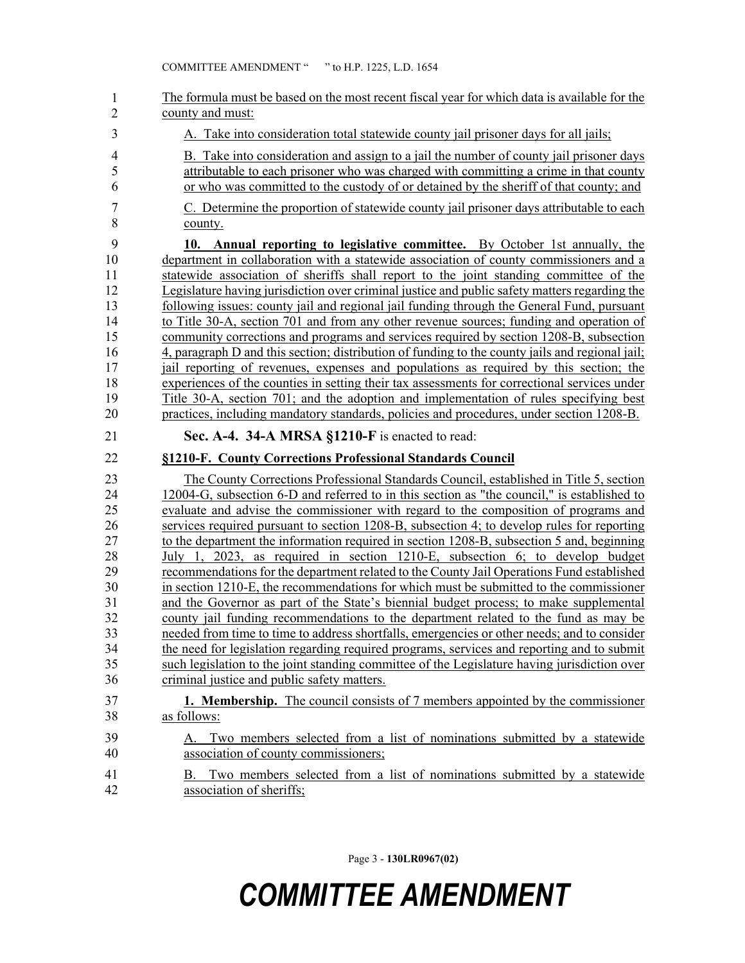| $\mathbf{1}$<br>$\overline{2}$                                                   | The formula must be based on the most recent fiscal year for which data is available for the<br>county and must:                                                                                                                                                                                                                                                                                                                                                                                                                                                                                                                                                                                                                                                                                                                                                                                                                                                                                                                                                                                                                                                                                                                                                           |
|----------------------------------------------------------------------------------|----------------------------------------------------------------------------------------------------------------------------------------------------------------------------------------------------------------------------------------------------------------------------------------------------------------------------------------------------------------------------------------------------------------------------------------------------------------------------------------------------------------------------------------------------------------------------------------------------------------------------------------------------------------------------------------------------------------------------------------------------------------------------------------------------------------------------------------------------------------------------------------------------------------------------------------------------------------------------------------------------------------------------------------------------------------------------------------------------------------------------------------------------------------------------------------------------------------------------------------------------------------------------|
| 3                                                                                | A. Take into consideration total statewide county jail prisoner days for all jails;                                                                                                                                                                                                                                                                                                                                                                                                                                                                                                                                                                                                                                                                                                                                                                                                                                                                                                                                                                                                                                                                                                                                                                                        |
| $\overline{\mathcal{L}}$<br>5<br>6                                               | B. Take into consideration and assign to a jail the number of county jail prisoner days<br>attributable to each prisoner who was charged with committing a crime in that county<br>or who was committed to the custody of or detained by the sheriff of that county; and                                                                                                                                                                                                                                                                                                                                                                                                                                                                                                                                                                                                                                                                                                                                                                                                                                                                                                                                                                                                   |
| $\overline{7}$<br>8                                                              | C. Determine the proportion of statewide county jail prisoner days attributable to each<br>county.                                                                                                                                                                                                                                                                                                                                                                                                                                                                                                                                                                                                                                                                                                                                                                                                                                                                                                                                                                                                                                                                                                                                                                         |
| 9<br>10<br>11<br>12<br>13<br>14<br>15<br>16<br>17<br>18<br>19<br>20              | 10. Annual reporting to legislative committee. By October 1st annually, the<br>department in collaboration with a statewide association of county commissioners and a<br>statewide association of sheriffs shall report to the joint standing committee of the<br>Legislature having jurisdiction over criminal justice and public safety matters regarding the<br>following issues: county jail and regional jail funding through the General Fund, pursuant<br>to Title 30-A, section 701 and from any other revenue sources; funding and operation of<br>community corrections and programs and services required by section 1208-B, subsection<br>4, paragraph D and this section; distribution of funding to the county jails and regional jail;<br>jail reporting of revenues, expenses and populations as required by this section; the<br>experiences of the counties in setting their tax assessments for correctional services under<br>Title 30-A, section 701; and the adoption and implementation of rules specifying best<br>practices, including mandatory standards, policies and procedures, under section 1208-B.                                                                                                                                        |
| 21                                                                               | Sec. A-4. 34-A MRSA §1210-F is enacted to read:                                                                                                                                                                                                                                                                                                                                                                                                                                                                                                                                                                                                                                                                                                                                                                                                                                                                                                                                                                                                                                                                                                                                                                                                                            |
|                                                                                  |                                                                                                                                                                                                                                                                                                                                                                                                                                                                                                                                                                                                                                                                                                                                                                                                                                                                                                                                                                                                                                                                                                                                                                                                                                                                            |
| 22                                                                               | §1210-F. County Corrections Professional Standards Council                                                                                                                                                                                                                                                                                                                                                                                                                                                                                                                                                                                                                                                                                                                                                                                                                                                                                                                                                                                                                                                                                                                                                                                                                 |
| 23<br>24<br>25<br>26<br>27<br>28<br>29<br>30<br>31<br>32<br>33<br>34<br>35<br>36 | The County Corrections Professional Standards Council, established in Title 5, section<br>12004-G, subsection 6-D and referred to in this section as "the council," is established to<br>evaluate and advise the commissioner with regard to the composition of programs and<br>services required pursuant to section 1208-B, subsection 4; to develop rules for reporting<br>to the department the information required in section 1208-B, subsection 5 and, beginning<br>July 1, 2023, as required in section 1210-E, subsection 6; to develop budget<br>recommendations for the department related to the County Jail Operations Fund established<br>in section 1210-E, the recommendations for which must be submitted to the commissioner<br>and the Governor as part of the State's biennial budget process; to make supplemental<br>county jail funding recommendations to the department related to the fund as may be<br>needed from time to time to address shortfalls, emergencies or other needs; and to consider<br>the need for legislation regarding required programs, services and reporting and to submit<br>such legislation to the joint standing committee of the Legislature having jurisdiction over<br>criminal justice and public safety matters. |
| 37                                                                               | <b>1. Membership.</b> The council consists of 7 members appointed by the commissioner                                                                                                                                                                                                                                                                                                                                                                                                                                                                                                                                                                                                                                                                                                                                                                                                                                                                                                                                                                                                                                                                                                                                                                                      |
| 38<br>39<br>40                                                                   | as follows:<br>Two members selected from a list of nominations submitted by a statewide<br>А.<br>association of county commissioners;                                                                                                                                                                                                                                                                                                                                                                                                                                                                                                                                                                                                                                                                                                                                                                                                                                                                                                                                                                                                                                                                                                                                      |

Page 3 - **130LR0967(02)**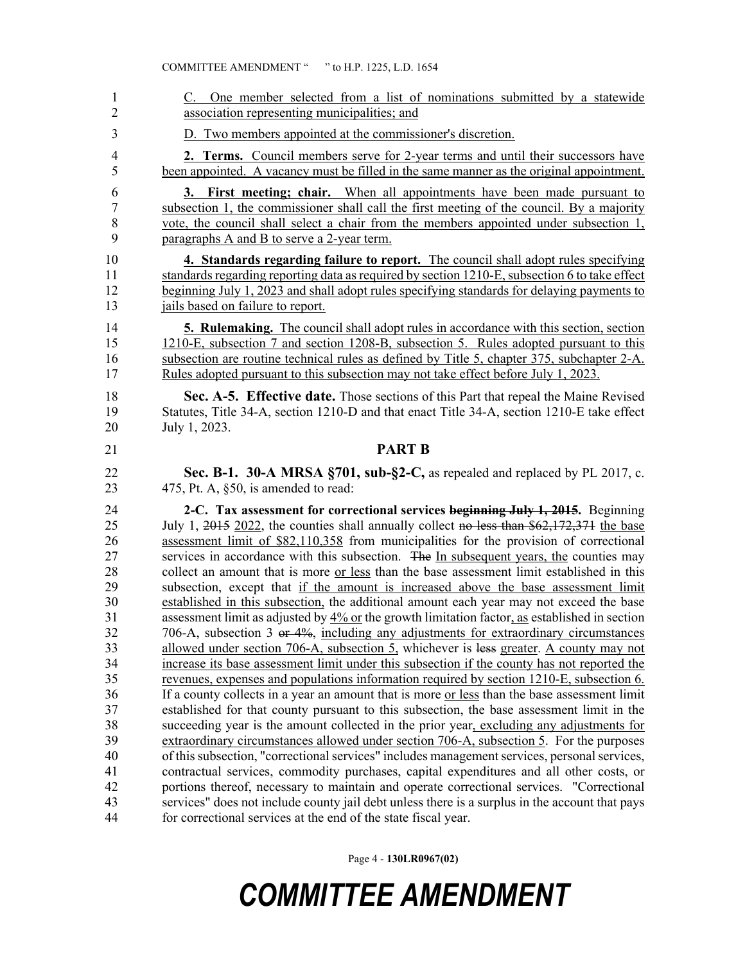| One member selected from a list of nominations submitted by a statewide<br>C.<br>association representing municipalities; and                                                         |
|---------------------------------------------------------------------------------------------------------------------------------------------------------------------------------------|
| D. Two members appointed at the commissioner's discretion.                                                                                                                            |
|                                                                                                                                                                                       |
| <b>2. Terms.</b> Council members serve for 2-year terms and until their successors have<br>been appointed. A vacancy must be filled in the same manner as the original appointment.   |
| 3. First meeting; chair. When all appointments have been made pursuant to                                                                                                             |
| subsection 1, the commissioner shall call the first meeting of the council. By a majority                                                                                             |
| vote, the council shall select a chair from the members appointed under subsection 1,                                                                                                 |
| paragraphs A and B to serve a 2-year term.                                                                                                                                            |
| 4. Standards regarding failure to report. The council shall adopt rules specifying                                                                                                    |
| standards regarding reporting data as required by section 1210-E, subsection 6 to take effect                                                                                         |
| beginning July 1, 2023 and shall adopt rules specifying standards for delaying payments to<br>jails based on failure to report.                                                       |
|                                                                                                                                                                                       |
| <b>5. Rulemaking.</b> The council shall adopt rules in accordance with this section, section                                                                                          |
| 1210-E, subsection 7 and section 1208-B, subsection 5. Rules adopted pursuant to this<br>subsection are routine technical rules as defined by Title 5, chapter 375, subchapter 2-A.   |
| Rules adopted pursuant to this subsection may not take effect before July 1, 2023.                                                                                                    |
|                                                                                                                                                                                       |
| Sec. A-5. Effective date. Those sections of this Part that repeal the Maine Revised                                                                                                   |
| Statutes, Title 34-A, section 1210-D and that enact Title 34-A, section 1210-E take effect<br>July 1, 2023.                                                                           |
|                                                                                                                                                                                       |
| <b>PART B</b>                                                                                                                                                                         |
|                                                                                                                                                                                       |
| Sec. B-1. 30-A MRSA §701, sub-§2-C, as repealed and replaced by PL 2017, c.                                                                                                           |
| 475, Pt. A, §50, is amended to read:                                                                                                                                                  |
| 2-C. Tax assessment for correctional services beginning July 1, 2015. Beginning                                                                                                       |
| July 1, 2015 2022, the counties shall annually collect no less than \$62,172,371 the base                                                                                             |
| assessment limit of \$82,110,358 from municipalities for the provision of correctional<br>services in accordance with this subsection. The In subsequent years, the counties may      |
| collect an amount that is more or less than the base assessment limit established in this                                                                                             |
| subsection, except that if the amount is increased above the base assessment limit                                                                                                    |
| established in this subsection, the additional amount each year may not exceed the base                                                                                               |
| assessment limit as adjusted by 4% or the growth limitation factor, as established in section                                                                                         |
| 706-A, subsection 3 or 4%, including any adjustments for extraordinary circumstances                                                                                                  |
| allowed under section 706-A, subsection 5, whichever is less greater. A county may not                                                                                                |
| increase its base assessment limit under this subsection if the county has not reported the                                                                                           |
| revenues, expenses and populations information required by section 1210-E, subsection 6.                                                                                              |
| If a county collects in a year an amount that is more <u>or less</u> than the base assessment limit                                                                                   |
| established for that county pursuant to this subsection, the base assessment limit in the<br>succeeding year is the amount collected in the prior year, excluding any adjustments for |
| extraordinary circumstances allowed under section 706-A, subsection 5. For the purposes                                                                                               |
| of this subsection, "correctional services" includes management services, personal services,                                                                                          |
| contractual services, commodity purchases, capital expenditures and all other costs, or                                                                                               |
| portions thereof, necessary to maintain and operate correctional services. "Correctional                                                                                              |
| services" does not include county jail debt unless there is a surplus in the account that pays<br>for correctional services at the end of the state fiscal year.                      |

COMMITTEE AMENDMENT " " to H.P. 1225, L.D. 1654

#### *COMMITTEE AMENDMENT*

Page 4 - **130LR0967(02)**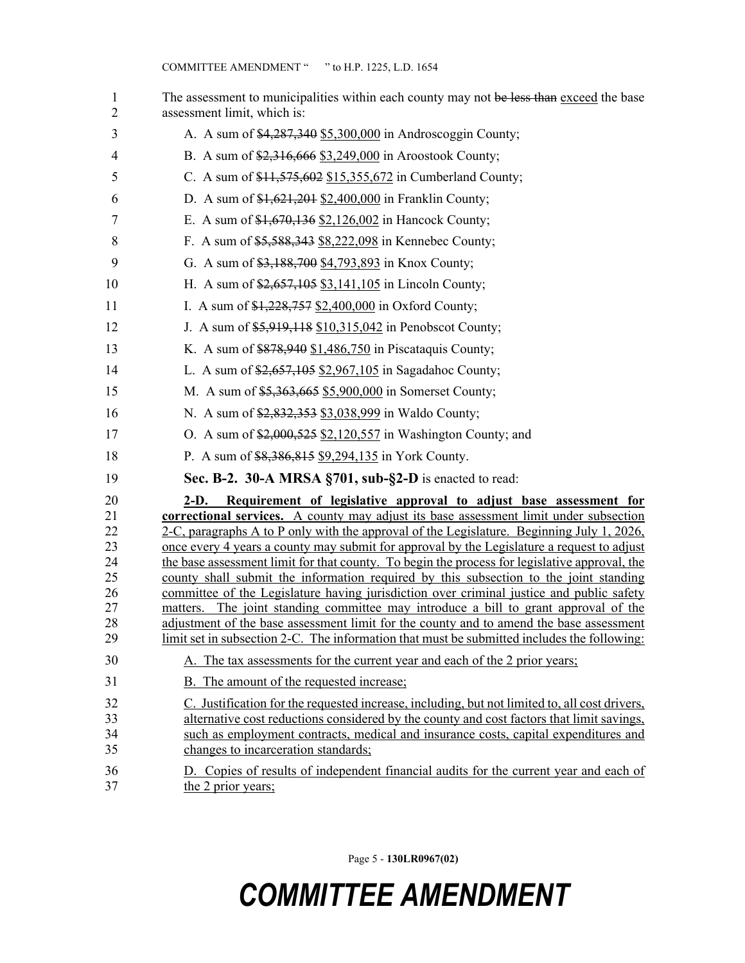| $\mathbf{1}$<br>$\overline{2}$                                                               | The assessment to municipalities within each county may not be less than exceed the base<br>assessment limit, which is:                                                                                                                                                                                                                                                                                                                                                                                                                                                                                                                                                                                                                                                                                                                                                                                                                                                                                                                                                                                                                                                                                                                                                                                                                                                                             |
|----------------------------------------------------------------------------------------------|-----------------------------------------------------------------------------------------------------------------------------------------------------------------------------------------------------------------------------------------------------------------------------------------------------------------------------------------------------------------------------------------------------------------------------------------------------------------------------------------------------------------------------------------------------------------------------------------------------------------------------------------------------------------------------------------------------------------------------------------------------------------------------------------------------------------------------------------------------------------------------------------------------------------------------------------------------------------------------------------------------------------------------------------------------------------------------------------------------------------------------------------------------------------------------------------------------------------------------------------------------------------------------------------------------------------------------------------------------------------------------------------------------|
| 3                                                                                            | A. A sum of \$4,287,340 \$5,300,000 in Androscoggin County;                                                                                                                                                                                                                                                                                                                                                                                                                                                                                                                                                                                                                                                                                                                                                                                                                                                                                                                                                                                                                                                                                                                                                                                                                                                                                                                                         |
| $\overline{4}$                                                                               | B. A sum of \$2,316,666 \$3,249,000 in Aroostook County;                                                                                                                                                                                                                                                                                                                                                                                                                                                                                                                                                                                                                                                                                                                                                                                                                                                                                                                                                                                                                                                                                                                                                                                                                                                                                                                                            |
| 5                                                                                            | C. A sum of \$11,575,602 \$15,355,672 in Cumberland County;                                                                                                                                                                                                                                                                                                                                                                                                                                                                                                                                                                                                                                                                                                                                                                                                                                                                                                                                                                                                                                                                                                                                                                                                                                                                                                                                         |
| 6                                                                                            | D. A sum of $$1,621,201$ $$2,400,000$ in Franklin County;                                                                                                                                                                                                                                                                                                                                                                                                                                                                                                                                                                                                                                                                                                                                                                                                                                                                                                                                                                                                                                                                                                                                                                                                                                                                                                                                           |
| 7                                                                                            | E. A sum of \$1,670,136 \$2,126,002 in Hancock County;                                                                                                                                                                                                                                                                                                                                                                                                                                                                                                                                                                                                                                                                                                                                                                                                                                                                                                                                                                                                                                                                                                                                                                                                                                                                                                                                              |
| 8                                                                                            | F. A sum of \$5,588,343 \$8,222,098 in Kennebec County;                                                                                                                                                                                                                                                                                                                                                                                                                                                                                                                                                                                                                                                                                                                                                                                                                                                                                                                                                                                                                                                                                                                                                                                                                                                                                                                                             |
| 9                                                                                            | G. A sum of \$3,188,700 \$4,793,893 in Knox County;                                                                                                                                                                                                                                                                                                                                                                                                                                                                                                                                                                                                                                                                                                                                                                                                                                                                                                                                                                                                                                                                                                                                                                                                                                                                                                                                                 |
| 10                                                                                           | H. A sum of \$2,657,105 \$3,141,105 in Lincoln County;                                                                                                                                                                                                                                                                                                                                                                                                                                                                                                                                                                                                                                                                                                                                                                                                                                                                                                                                                                                                                                                                                                                                                                                                                                                                                                                                              |
| 11                                                                                           | I. A sum of $$1,228,757$ $$2,400,000$ in Oxford County;                                                                                                                                                                                                                                                                                                                                                                                                                                                                                                                                                                                                                                                                                                                                                                                                                                                                                                                                                                                                                                                                                                                                                                                                                                                                                                                                             |
| 12                                                                                           | J. A sum of \$5,919,118 \$10,315,042 in Penobscot County;                                                                                                                                                                                                                                                                                                                                                                                                                                                                                                                                                                                                                                                                                                                                                                                                                                                                                                                                                                                                                                                                                                                                                                                                                                                                                                                                           |
| 13                                                                                           | K. A sum of \$878,940 \$1,486,750 in Piscataquis County;                                                                                                                                                                                                                                                                                                                                                                                                                                                                                                                                                                                                                                                                                                                                                                                                                                                                                                                                                                                                                                                                                                                                                                                                                                                                                                                                            |
| 14                                                                                           | L. A sum of $\frac{2,657,105}{2,067,105}$ in Sagadahoc County;                                                                                                                                                                                                                                                                                                                                                                                                                                                                                                                                                                                                                                                                                                                                                                                                                                                                                                                                                                                                                                                                                                                                                                                                                                                                                                                                      |
| 15                                                                                           | M. A sum of \$5,363,665 \$5,900,000 in Somerset County;                                                                                                                                                                                                                                                                                                                                                                                                                                                                                                                                                                                                                                                                                                                                                                                                                                                                                                                                                                                                                                                                                                                                                                                                                                                                                                                                             |
| 16                                                                                           | N. A sum of \$2,832,353 \$3,038,999 in Waldo County;                                                                                                                                                                                                                                                                                                                                                                                                                                                                                                                                                                                                                                                                                                                                                                                                                                                                                                                                                                                                                                                                                                                                                                                                                                                                                                                                                |
| 17                                                                                           | O. A sum of $2,000,525$ $2,120,557$ in Washington County; and                                                                                                                                                                                                                                                                                                                                                                                                                                                                                                                                                                                                                                                                                                                                                                                                                                                                                                                                                                                                                                                                                                                                                                                                                                                                                                                                       |
| 18                                                                                           | P. A sum of \$8,386,815 \$9,294,135 in York County.                                                                                                                                                                                                                                                                                                                                                                                                                                                                                                                                                                                                                                                                                                                                                                                                                                                                                                                                                                                                                                                                                                                                                                                                                                                                                                                                                 |
| 19                                                                                           | Sec. B-2. 30-A MRSA §701, sub-§2-D is enacted to read:                                                                                                                                                                                                                                                                                                                                                                                                                                                                                                                                                                                                                                                                                                                                                                                                                                                                                                                                                                                                                                                                                                                                                                                                                                                                                                                                              |
| 20<br>21<br>22<br>23<br>24<br>25<br>26<br>27<br>28<br>29<br>30<br>31<br>32<br>33<br>34<br>35 | $2-D.$<br>Requirement of legislative approval to adjust base assessment for<br><b>correctional services.</b> A county may adjust its base assessment limit under subsection<br>2-C, paragraphs A to P only with the approval of the Legislature. Beginning July 1, 2026,<br>once every 4 years a county may submit for approval by the Legislature a request to adjust<br>the base assessment limit for that county. To begin the process for legislative approval, the<br>county shall submit the information required by this subsection to the joint standing<br>committee of the Legislature having jurisdiction over criminal justice and public safety<br>matters. The joint standing committee may introduce a bill to grant approval of the<br>adjustment of the base assessment limit for the county and to amend the base assessment<br>limit set in subsection 2-C. The information that must be submitted includes the following:<br>A. The tax assessments for the current year and each of the 2 prior years;<br>B. The amount of the requested increase;<br>C. Justification for the requested increase, including, but not limited to, all cost drivers,<br>alternative cost reductions considered by the county and cost factors that limit savings,<br>such as employment contracts, medical and insurance costs, capital expenditures and<br>changes to incarceration standards; |
| 36<br>37                                                                                     | D. Copies of results of independent financial audits for the current year and each of<br>the 2 prior years;                                                                                                                                                                                                                                                                                                                                                                                                                                                                                                                                                                                                                                                                                                                                                                                                                                                                                                                                                                                                                                                                                                                                                                                                                                                                                         |

Page 5 - **130LR0967(02)**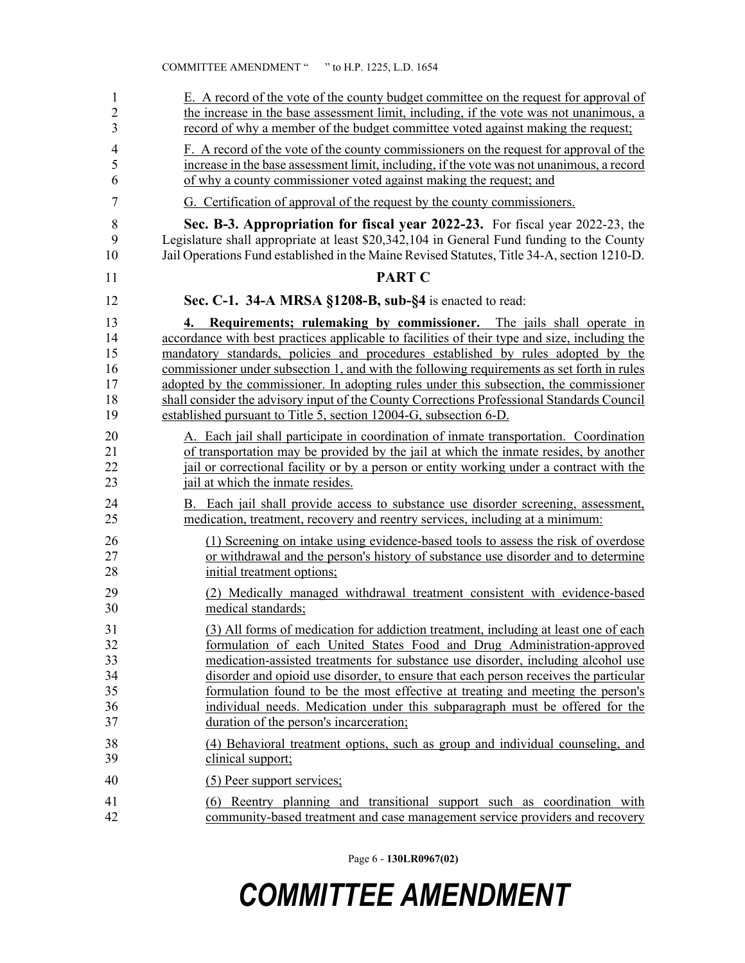| 1                                      | E. A record of the vote of the county budget committee on the request for approval of                                                                                                                                                                                                                                                                                                                                                                                                                                                                                                                                      |
|----------------------------------------|----------------------------------------------------------------------------------------------------------------------------------------------------------------------------------------------------------------------------------------------------------------------------------------------------------------------------------------------------------------------------------------------------------------------------------------------------------------------------------------------------------------------------------------------------------------------------------------------------------------------------|
| $\overline{2}$                         | the increase in the base assessment limit, including, if the vote was not unanimous, a                                                                                                                                                                                                                                                                                                                                                                                                                                                                                                                                     |
| 3                                      | record of why a member of the budget committee voted against making the request;                                                                                                                                                                                                                                                                                                                                                                                                                                                                                                                                           |
| $\overline{4}$                         | F. A record of the vote of the county commissioners on the request for approval of the                                                                                                                                                                                                                                                                                                                                                                                                                                                                                                                                     |
| 5                                      | increase in the base assessment limit, including, if the vote was not unanimous, a record                                                                                                                                                                                                                                                                                                                                                                                                                                                                                                                                  |
| 6                                      | of why a county commissioner voted against making the request; and                                                                                                                                                                                                                                                                                                                                                                                                                                                                                                                                                         |
| $\overline{7}$                         | G. Certification of approval of the request by the county commissioners.                                                                                                                                                                                                                                                                                                                                                                                                                                                                                                                                                   |
| 8                                      | Sec. B-3. Appropriation for fiscal year 2022-23. For fiscal year 2022-23, the                                                                                                                                                                                                                                                                                                                                                                                                                                                                                                                                              |
| 9                                      | Legislature shall appropriate at least \$20,342,104 in General Fund funding to the County                                                                                                                                                                                                                                                                                                                                                                                                                                                                                                                                  |
| 10                                     | Jail Operations Fund established in the Maine Revised Statutes, Title 34-A, section 1210-D.                                                                                                                                                                                                                                                                                                                                                                                                                                                                                                                                |
| 11                                     | <b>PART C</b>                                                                                                                                                                                                                                                                                                                                                                                                                                                                                                                                                                                                              |
| 12                                     | Sec. C-1. 34-A MRSA §1208-B, sub-§4 is enacted to read:                                                                                                                                                                                                                                                                                                                                                                                                                                                                                                                                                                    |
| 13<br>14<br>15<br>16<br>17<br>18<br>19 | Requirements; rulemaking by commissioner. The jails shall operate in<br>4.<br>accordance with best practices applicable to facilities of their type and size, including the<br>mandatory standards, policies and procedures established by rules adopted by the<br>commissioner under subsection 1, and with the following requirements as set forth in rules<br>adopted by the commissioner. In adopting rules under this subsection, the commissioner<br>shall consider the advisory input of the County Corrections Professional Standards Council<br>established pursuant to Title 5, section 12004-G, subsection 6-D. |
| 20                                     | A. Each jail shall participate in coordination of inmate transportation. Coordination                                                                                                                                                                                                                                                                                                                                                                                                                                                                                                                                      |
| 21                                     | of transportation may be provided by the jail at which the inmate resides, by another                                                                                                                                                                                                                                                                                                                                                                                                                                                                                                                                      |
| 22                                     | jail or correctional facility or by a person or entity working under a contract with the                                                                                                                                                                                                                                                                                                                                                                                                                                                                                                                                   |
| 23                                     | jail at which the inmate resides.                                                                                                                                                                                                                                                                                                                                                                                                                                                                                                                                                                                          |
| 24                                     | B. Each jail shall provide access to substance use disorder screening, assessment,                                                                                                                                                                                                                                                                                                                                                                                                                                                                                                                                         |
| 25                                     | medication, treatment, recovery and reentry services, including at a minimum:                                                                                                                                                                                                                                                                                                                                                                                                                                                                                                                                              |
| 26                                     | (1) Screening on intake using evidence-based tools to assess the risk of overdose                                                                                                                                                                                                                                                                                                                                                                                                                                                                                                                                          |
| 27                                     | or withdrawal and the person's history of substance use disorder and to determine                                                                                                                                                                                                                                                                                                                                                                                                                                                                                                                                          |
| 28                                     | initial treatment options;                                                                                                                                                                                                                                                                                                                                                                                                                                                                                                                                                                                                 |
| 29                                     | (2) Medically managed withdrawal treatment consistent with evidence-based                                                                                                                                                                                                                                                                                                                                                                                                                                                                                                                                                  |
| 30                                     | medical standards;                                                                                                                                                                                                                                                                                                                                                                                                                                                                                                                                                                                                         |
| 31                                     | (3) All forms of medication for addiction treatment, including at least one of each                                                                                                                                                                                                                                                                                                                                                                                                                                                                                                                                        |
| 32                                     | formulation of each United States Food and Drug Administration-approved                                                                                                                                                                                                                                                                                                                                                                                                                                                                                                                                                    |
| 33                                     | medication-assisted treatments for substance use disorder, including alcohol use                                                                                                                                                                                                                                                                                                                                                                                                                                                                                                                                           |
| 34                                     | disorder and opioid use disorder, to ensure that each person receives the particular                                                                                                                                                                                                                                                                                                                                                                                                                                                                                                                                       |
| 35                                     | formulation found to be the most effective at treating and meeting the person's                                                                                                                                                                                                                                                                                                                                                                                                                                                                                                                                            |
| 36                                     | individual needs. Medication under this subparagraph must be offered for the                                                                                                                                                                                                                                                                                                                                                                                                                                                                                                                                               |
| 37                                     | duration of the person's incarceration;                                                                                                                                                                                                                                                                                                                                                                                                                                                                                                                                                                                    |
| 38                                     | (4) Behavioral treatment options, such as group and individual counseling, and                                                                                                                                                                                                                                                                                                                                                                                                                                                                                                                                             |
| 39                                     | clinical support;                                                                                                                                                                                                                                                                                                                                                                                                                                                                                                                                                                                                          |
| 40                                     | (5) Peer support services;                                                                                                                                                                                                                                                                                                                                                                                                                                                                                                                                                                                                 |
| 41                                     | (6) Reentry planning and transitional support such as coordination with                                                                                                                                                                                                                                                                                                                                                                                                                                                                                                                                                    |
| 42                                     | community-based treatment and case management service providers and recovery                                                                                                                                                                                                                                                                                                                                                                                                                                                                                                                                               |

Page 6 - **130LR0967(02)**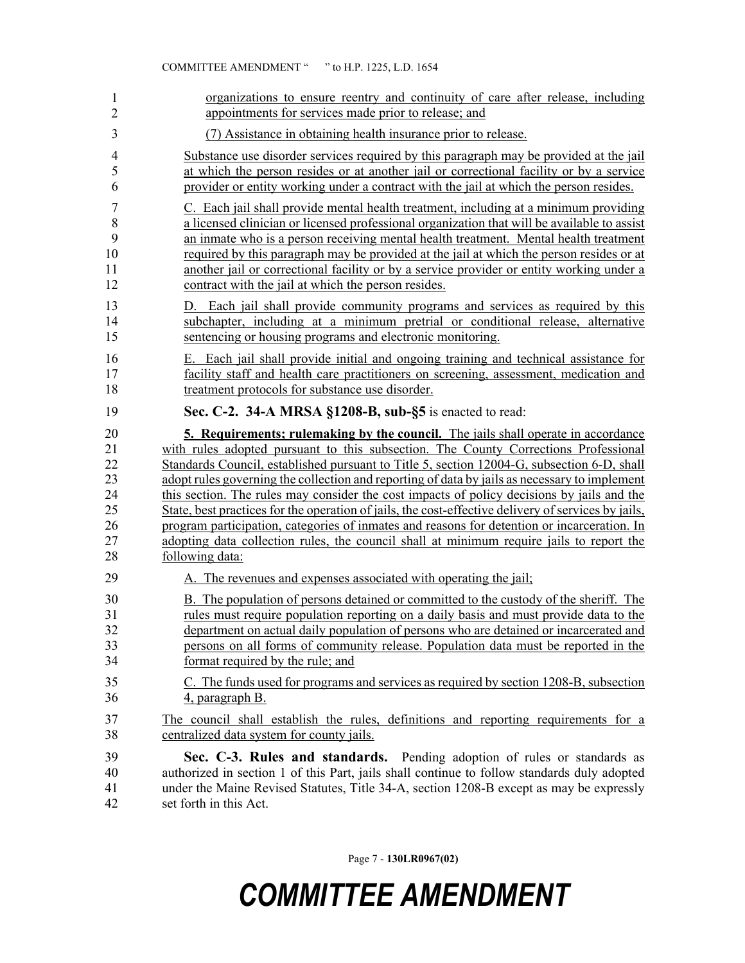| 1              | organizations to ensure reentry and continuity of care after release, including                                                                                                                                                   |
|----------------|-----------------------------------------------------------------------------------------------------------------------------------------------------------------------------------------------------------------------------------|
| $\overline{2}$ | appointments for services made prior to release; and                                                                                                                                                                              |
| 3              | (7) Assistance in obtaining health insurance prior to release.                                                                                                                                                                    |
| 4              | Substance use disorder services required by this paragraph may be provided at the jail                                                                                                                                            |
| 5              | at which the person resides or at another jail or correctional facility or by a service                                                                                                                                           |
| 6              | provider or entity working under a contract with the jail at which the person resides.                                                                                                                                            |
| 7              | C. Each jail shall provide mental health treatment, including at a minimum providing                                                                                                                                              |
| $\,$ $\,$      | a licensed clinician or licensed professional organization that will be available to assist                                                                                                                                       |
| 9              | an inmate who is a person receiving mental health treatment. Mental health treatment                                                                                                                                              |
| 10             | required by this paragraph may be provided at the jail at which the person resides or at                                                                                                                                          |
| 11             | another jail or correctional facility or by a service provider or entity working under a                                                                                                                                          |
| 12             | contract with the jail at which the person resides.                                                                                                                                                                               |
| 13<br>14<br>15 | Each jail shall provide community programs and services as required by this<br>D.<br>subchapter, including at a minimum pretrial or conditional release, alternative<br>sentencing or housing programs and electronic monitoring. |
| 16             | E. Each jail shall provide initial and ongoing training and technical assistance for                                                                                                                                              |
| 17             | facility staff and health care practitioners on screening, assessment, medication and                                                                                                                                             |
| 18             | treatment protocols for substance use disorder.                                                                                                                                                                                   |
| 19             | Sec. C-2. 34-A MRSA §1208-B, sub-§5 is enacted to read:                                                                                                                                                                           |
| 20             | <b>5. Requirements; rulemaking by the council.</b> The jails shall operate in accordance                                                                                                                                          |
| 21             | with rules adopted pursuant to this subsection. The County Corrections Professional                                                                                                                                               |
| 22             | Standards Council, established pursuant to Title 5, section 12004-G, subsection 6-D, shall                                                                                                                                        |
| 23             | adopt rules governing the collection and reporting of data by jails as necessary to implement                                                                                                                                     |
| 24             | this section. The rules may consider the cost impacts of policy decisions by jails and the                                                                                                                                        |
| 25             | State, best practices for the operation of jails, the cost-effective delivery of services by jails,                                                                                                                               |
| 26             | program participation, categories of inmates and reasons for detention or incarceration. In                                                                                                                                       |
| 27             | adopting data collection rules, the council shall at minimum require jails to report the                                                                                                                                          |
| 28             | following data:                                                                                                                                                                                                                   |
| 29             | A. The revenues and expenses associated with operating the jail;                                                                                                                                                                  |
| 30             | B. The population of persons detained or committed to the custody of the sheriff. The                                                                                                                                             |
| 31             | rules must require population reporting on a daily basis and must provide data to the                                                                                                                                             |
| 32             | department on actual daily population of persons who are detained or incarcerated and                                                                                                                                             |
| 33             | persons on all forms of community release. Population data must be reported in the                                                                                                                                                |
| 34             | format required by the rule; and                                                                                                                                                                                                  |
| 35             | C. The funds used for programs and services as required by section 1208-B, subsection                                                                                                                                             |
| 36             | 4, paragraph B.                                                                                                                                                                                                                   |
| 37             | The council shall establish the rules, definitions and reporting requirements for a                                                                                                                                               |
| 38             | centralized data system for county jails.                                                                                                                                                                                         |
| 39             | Sec. C-3. Rules and standards. Pending adoption of rules or standards as                                                                                                                                                          |
| 40             | authorized in section 1 of this Part, jails shall continue to follow standards duly adopted                                                                                                                                       |
| 41             | under the Maine Revised Statutes, Title 34-A, section 1208-B except as may be expressly                                                                                                                                           |
| 42             | set forth in this Act.                                                                                                                                                                                                            |

Page 7 - **130LR0967(02)**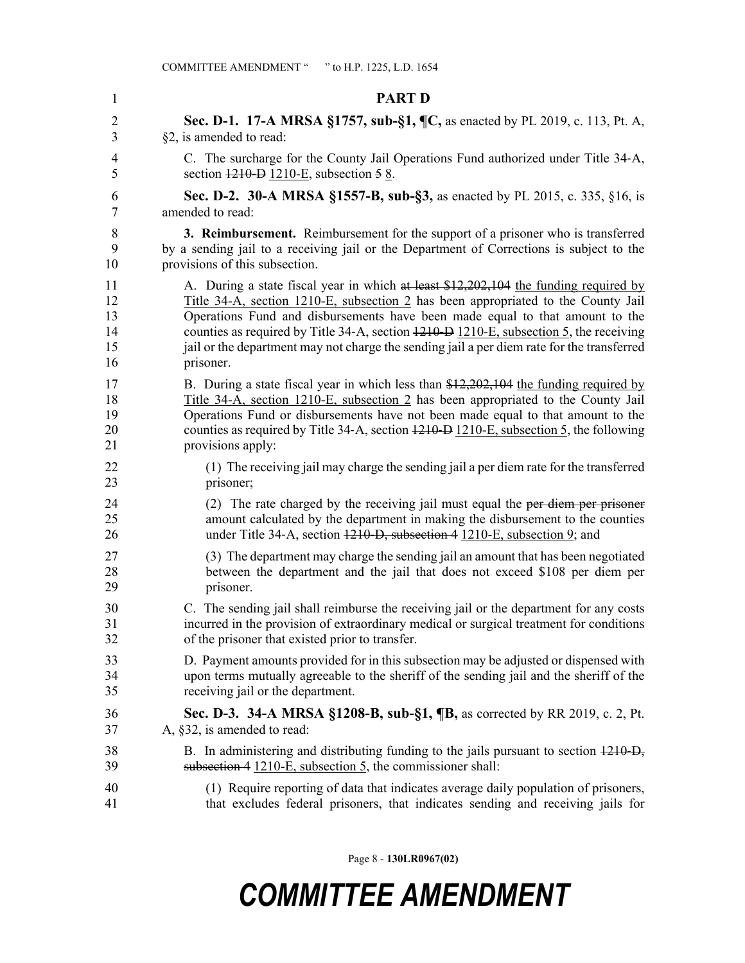| 1  | <b>PART D</b>                                                                              |
|----|--------------------------------------------------------------------------------------------|
| 2  | Sec. D-1. 17-A MRSA §1757, sub-§1, ¶C, as enacted by PL 2019, c. 113, Pt. A,               |
| 3  | §2, is amended to read:                                                                    |
| 4  | C. The surcharge for the County Jail Operations Fund authorized under Title 34-A,          |
| 5  | section $1210 - D$ 1210-E, subsection $58$ .                                               |
| 6  | <b>Sec. D-2. 30-A MRSA §1557-B, sub-§3, as enacted by PL 2015, c. 335, §16, is</b>         |
| 7  | amended to read:                                                                           |
| 8  | 3. Reimbursement. Reimbursement for the support of a prisoner who is transferred           |
| 9  | by a sending jail to a receiving jail or the Department of Corrections is subject to the   |
| 10 | provisions of this subsection.                                                             |
| 11 | A. During a state fiscal year in which at least \$12,202,104 the funding required by       |
| 12 | Title 34-A, section 1210-E, subsection 2 has been appropriated to the County Jail          |
| 13 | Operations Fund and disbursements have been made equal to that amount to the               |
| 14 | counties as required by Title 34-A, section 4210-D 1210-E, subsection 5, the receiving     |
| 15 | jail or the department may not charge the sending jail a per diem rate for the transferred |
| 16 | prisoner.                                                                                  |
| 17 | B. During a state fiscal year in which less than $$12,202,104$ the funding required by     |
| 18 | Title 34-A, section 1210-E, subsection 2 has been appropriated to the County Jail          |
| 19 | Operations Fund or disbursements have not been made equal to that amount to the            |
| 20 | counties as required by Title 34-A, section 1210-D 1210-E, subsection 5, the following     |
| 21 | provisions apply:                                                                          |
| 22 | (1) The receiving jail may charge the sending jail a per diem rate for the transferred     |
| 23 | prisoner;                                                                                  |
| 24 | (2) The rate charged by the receiving jail must equal the per-diem per prisoner            |
| 25 | amount calculated by the department in making the disbursement to the counties             |
| 26 | under Title 34-A, section 1210-D, subsection 4 1210-E, subsection 9; and                   |
| 27 | (3) The department may charge the sending jail an amount that has been negotiated          |
| 28 | between the department and the jail that does not exceed \$108 per diem per                |
| 29 | prisoner.                                                                                  |
| 30 | C. The sending jail shall reimburse the receiving jail or the department for any costs     |
| 31 | incurred in the provision of extraordinary medical or surgical treatment for conditions    |
| 32 | of the prisoner that existed prior to transfer.                                            |
| 33 | D. Payment amounts provided for in this subsection may be adjusted or dispensed with       |
| 34 | upon terms mutually agreeable to the sheriff of the sending jail and the sheriff of the    |
| 35 | receiving jail or the department.                                                          |
| 36 | <b>Sec. D-3. 34-A MRSA §1208-B, sub-§1, ¶B, as corrected by RR 2019, c. 2, Pt.</b>         |
| 37 | A, §32, is amended to read:                                                                |
| 38 | B. In administering and distributing funding to the jails pursuant to section 1210-D,      |
| 39 | subsection 4 1210-E, subsection 5, the commissioner shall:                                 |
| 40 | (1) Require reporting of data that indicates average daily population of prisoners,        |
| 41 | that excludes federal prisoners, that indicates sending and receiving jails for            |

Page 8 - **130LR0967(02)**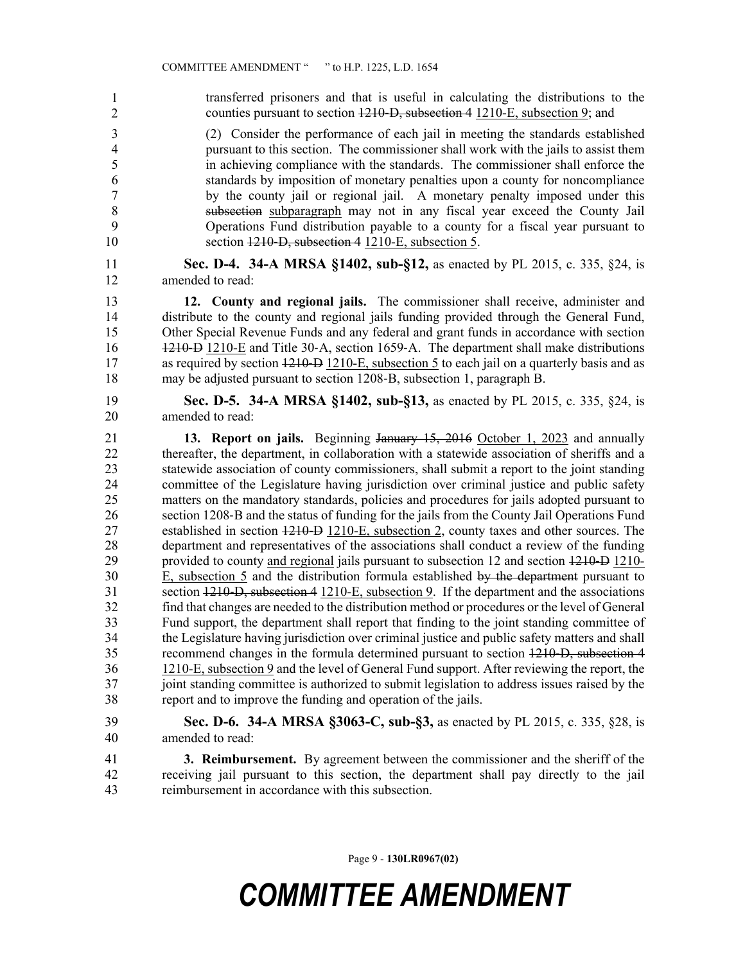transferred prisoners and that is useful in calculating the distributions to the counties pursuant to section 1210–D, subsection 4 1210–E, subsection 9; and 3 (2) Consider the performance of each jail in meeting the standards established 4 pursuant to this section. The commissioner shall work with the jails to assist them 5 in achieving compliance with the standards. The commissioner shall enforce the 6 standards by imposition of monetary penalties upon a county for noncompliance 7 by the county jail or regional jail. A monetary penalty imposed under this 8 subsection subparagraph may not in any fiscal year exceed the County Jail 9 Operations Fund distribution payable to a county for a fiscal year pursuant to 10 section 1210–D, subsection 4 1210–E, subsection 5. 11 **Sec. D-4. 34-A MRSA §1402, sub-§12,** as enacted by PL 2015, c. 335, §24, is 12 amended to read: 13 **12. County and regional jails.** The commissioner shall receive, administer and 14 distribute to the county and regional jails funding provided through the General Fund, 15 Other Special Revenue Funds and any federal and grant funds in accordance with section 16 1210–D 1210–E and Title 30-A, section 1659-A. The department shall make distributions 17 as required by section 1210–D 1210–E, subsection 5 to each jail on a quarterly basis and as 18 may be adjusted pursuant to section 1208‑B, subsection 1, paragraph B. 19 **Sec. D-5. 34-A MRSA §1402, sub-§13,** as enacted by PL 2015, c. 335, §24, is 20 amended to read: 21 **13. Report on jails.** Beginning January 15, 2016 October 1, 2023 and annually 22 thereafter, the department, in collaboration with a statewide association of sheriffs and a 23 statewide association of county commissioners, shall submit a report to the joint standing 24 committee of the Legislature having jurisdiction over criminal justice and public safety 25 matters on the mandatory standards, policies and procedures for jails adopted pursuant to 26 section 1208‑B and the status of funding for the jails from the County Jail Operations Fund 27 established in section 1210‑D 1210-E, subsection 2, county taxes and other sources. The 28 department and representatives of the associations shall conduct a review of the funding 29 provided to county and regional jails pursuant to subsection 12 and section  $1210 - D$  1210– 30 E, subsection 5 and the distribution formula established by the department pursuant to 31 section 1210‑D, subsection 4 1210-E, subsection 9. If the department and the associations 32 find that changes are needed to the distribution method or procedures or the level of General 33 Fund support, the department shall report that finding to the joint standing committee of 34 the Legislature having jurisdiction over criminal justice and public safety matters and shall 35 recommend changes in the formula determined pursuant to section 1210‑D, subsection 4 36 1210-E, subsection 9 and the level of General Fund support. After reviewing the report, the 37 joint standing committee is authorized to submit legislation to address issues raised by the 38 report and to improve the funding and operation of the jails. 39 **Sec. D-6. 34-A MRSA §3063-C, sub-§3,** as enacted by PL 2015, c. 335, §28, is 40 amended to read: 41 **3. Reimbursement.** By agreement between the commissioner and the sheriff of the 1 2

42 receiving jail pursuant to this section, the department shall pay directly to the jail 43 reimbursement in accordance with this subsection.

Page 9 - **130LR0967(02)**